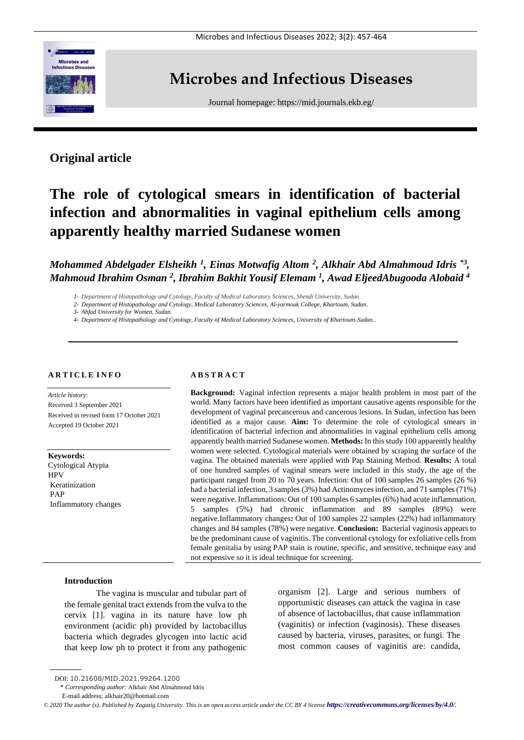

## **Microbes and Infectious Diseases**

Journal homepage:<https://mid.journals.ekb.eg/>

## **Original article**

# **The role of cytological smears in identification of bacterial infection and abnormalities in vaginal epithelium cells among apparently healthy married Sudanese women**

*Mohammed Abdelgader Elsheikh <sup>1</sup> , Einas Motwafig Altom <sup>2</sup> , Alkhair Abd Almahmoud Idris \*3 , Mahmoud Ibrahim Osman <sup>2</sup> , Ibrahim Bakhit Yousif Elemam <sup>1</sup> , Awad EljeedAbugooda Alobaid <sup>4</sup>*

*1- Department of Histopathology and Cytology, Faculty of Medical Laboratory Sciences, Shendi University, Sudan.*

*2- Department of Histopathology and Cytology, Medical Laboratory Sciences, Al-yarmouk College, Khartoum, Sudan.*

*3- Ahfad University for Women, Sudan.*

*4- Department of Histopathology and Cytology, Faculty of Medical Laboratory Sciences, University of Khartoum-Sudan..*

## **A R T I C L E I N F O**

*Article history:*  Received 3 September 2021 Received in revised form 17 October 2021 Accepted 19 October 2021

**Keywords:** Cytological Atypia HPV Keratinization PAP Inflammatory changes

## **A B S T R A C T**

**Background:** Vaginal infection represents a major health problem in most part of the world. Many factors have been identified as important causative agents responsible for the development of vaginal precancerous and cancerous lesions. In Sudan, infection has been identified as a major cause. **Aim:** To determine the role of cytological smears in identification of bacterial infection and abnormalities in vaginal epithelium cells among apparently health married Sudanese women. **Methods:** In this study 100 apparently healthy women were selected. Cytological materials were obtained by scraping the surface of the vagina. The obtained materials were applied with Pap Staining Method. **Results:** A total of one hundred samples of vaginal smears were included in this study, the age of the participant ranged from 20 to 70 years. Infection: Out of 100 samples 26 samples (26 %) had a bacterial infection, 3 samples (3%) had Actinomyces infection, and 71 samples (71%) were negative. Inflammations: Out of 100 samples 6 samples (6%) had acute inflammation, 5 samples (5%) had chronic inflammation and 89 samples (89%) were negative.Inflammatory changes**:** Out of 100 samples 22 samples (22%) had inflammatory changes and 84 samples (78%) were negative. **Conclusion:** Bacterial vaginosis appears to be the predominant cause of vaginitis. The conventional cytology for exfoliative cells from female genitalia by using PAP stain is routine, specific, and sensitive, technique easy and not expensive so it is ideal technique for screening.

## **Introduction**

The vagina is muscular and tubular part of the female genital tract extends from the vulva to the cervix [1]. vagina in its nature have low ph environment (acidic ph) provided by lactobacillus bacteria which degrades glycogen into lactic acid that keep low ph to protect it from any pathogenic organism [2]. Large and serious numbers of opportunistic diseases can attack the vagina in case of absence of lactobacillus, that cause inflammation (vaginitis) or infection (vaginosis). These diseases caused by bacteria, viruses, parasites, or fungi. The most common causes of vaginitis are: candida,

\* *Corresponding author:* Alkhair Abd Almahmoud Idris

DOI: 10.21608/MID.2021.99264.1200

E-mail address: alkhair20@hotmail.com

*<sup>©</sup> 2020 The author (s). Published by Zagazig University. This is an open access article under the CC BY 4 license <https://creativecommons.org/licenses/by/4.0/>.*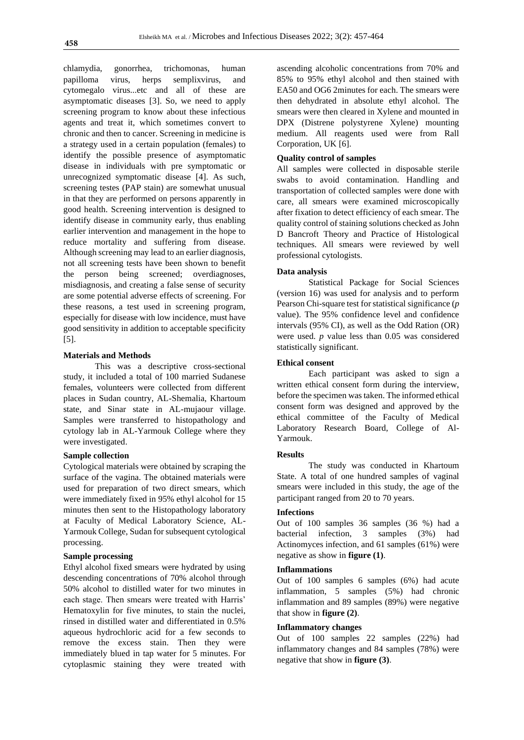chlamydia, gonorrhea, trichomonas, human papilloma virus, herps semplixvirus, and cytomegalo virus...etc and all of these are asymptomatic diseases [3]. So, we need to apply screening program to know about these infectious agents and treat it, which sometimes convert to chronic and then to cancer. Screening in medicine is a strategy used in a certain population (females) to identify the possible presence of asymptomatic disease in individuals with pre symptomatic or unrecognized symptomatic disease [4]. As such, screening testes (PAP stain) are somewhat unusual in that they are performed on persons apparently in good health. Screening intervention is designed to identify disease in community early, thus enabling earlier intervention and management in the hope to reduce mortality and suffering from disease. Although screening may lead to an earlier diagnosis, not all screening tests have been shown to benefit the person being screened; overdiagnoses, misdiagnosis, and creating a false sense of security are some potential adverse effects of screening. For these reasons, a test used in screening program, especially for disease with low incidence, must have good sensitivity in addition to acceptable specificity [5].

## **Materials and Methods**

This was a descriptive cross-sectional study, it included a total of 100 married Sudanese females, volunteers were collected from different places in Sudan country, AL-Shemalia, Khartoum state, and Sinar state in AL-mujaour village. Samples were transferred to histopathology and cytology lab in AL-Yarmouk College where they were investigated.

## **Sample collection**

Cytological materials were obtained by scraping the surface of the vagina. The obtained materials were used for preparation of two direct smears, which were immediately fixed in 95% ethyl alcohol for 15 minutes then sent to the Histopathology laboratory at Faculty of Medical Laboratory Science, AL-Yarmouk College, Sudan for subsequent cytological processing.

## **Sample processing**

Ethyl alcohol fixed smears were hydrated by using descending concentrations of 70% alcohol through 50% alcohol to distilled water for two minutes in each stage. Then smears were treated with Harris' Hematoxylin for five minutes, to stain the nuclei, rinsed in distilled water and differentiated in 0.5% aqueous hydrochloric acid for a few seconds to remove the excess stain. Then they were immediately blued in tap water for 5 minutes. For cytoplasmic staining they were treated with

ascending alcoholic concentrations from 70% and 85% to 95% ethyl alcohol and then stained with EA50 and OG6 2minutes for each. The smears were then dehydrated in absolute ethyl alcohol. The smears were then cleared in Xylene and mounted in DPX (Distrene polystyrene Xylene) mounting medium. All reagents used were from Rall Corporation, UK [6].

## **Quality control of samples**

All samples were collected in disposable sterile swabs to avoid contamination. Handling and transportation of collected samples were done with care, all smears were examined microscopically after fixation to detect efficiency of each smear. The quality control of staining solutions checked as John D Bancroft Theory and Practice of Histological techniques. All smears were reviewed by well professional cytologists.

#### **Data analysis**

Statistical Package for Social Sciences (version 16) was used for analysis and to perform Pearson Chi-square test for statistical significance (*p* value). The 95% confidence level and confidence intervals (95% CI), as well as the Odd Ration (OR) were used. *p* value less than 0.05 was considered statistically significant.

## **Ethical consent**

Each participant was asked to sign a written ethical consent form during the interview, before the specimen was taken. The informed ethical consent form was designed and approved by the ethical committee of the Faculty of Medical Laboratory Research Board, College of Al-Yarmouk.

#### **Results**

The study was conducted in Khartoum State. A total of one hundred samples of vaginal smears were included in this study, the age of the participant ranged from 20 to 70 years.

#### **Infections**

Out of 100 samples 36 samples (36 %) had a bacterial infection, 3 samples (3%) had Actinomyces infection, and 61 samples (61%) were negative as show in **figure (1)**.

## **Inflammations**

Out of 100 samples 6 samples (6%) had acute inflammation, 5 samples (5%) had chronic inflammation and 89 samples (89%) were negative that show in **figure (2)**.

## **Inflammatory changes**

Out of 100 samples 22 samples (22%) had inflammatory changes and 84 samples (78%) were negative that show in **figure (3)**.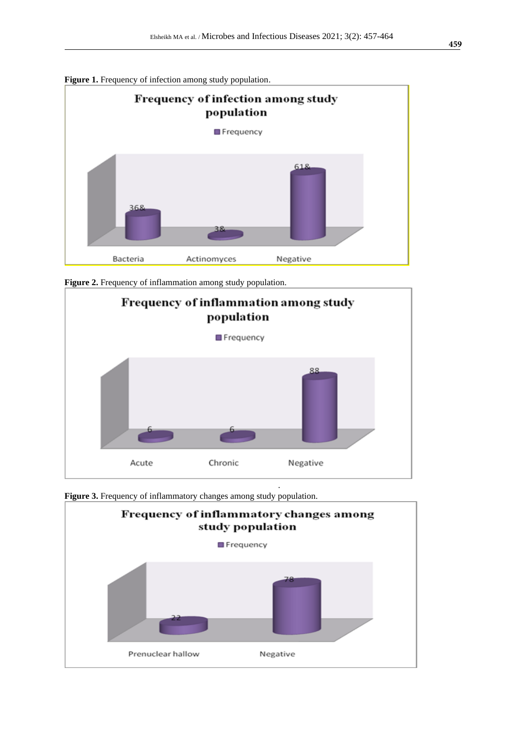







Figure 3. Frequency of inflammatory changes among study population.

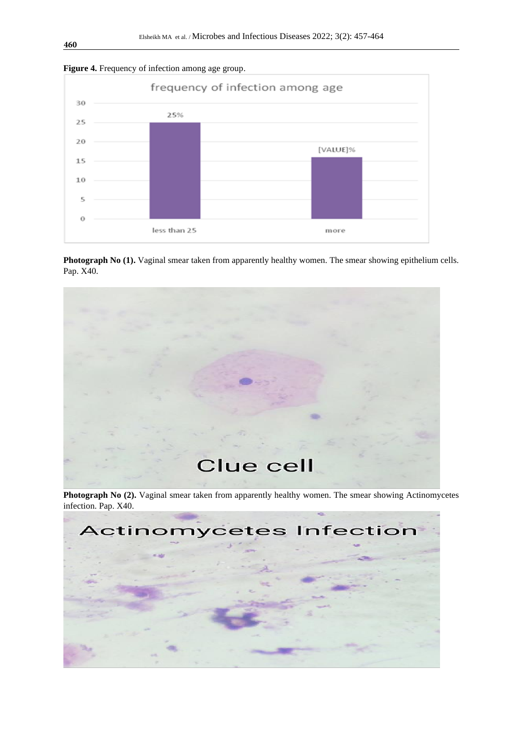



**Photograph No (1).** Vaginal smear taken from apparently healthy women. The smear showing epithelium cells. Pap. X40.



Photograph No (2). Vaginal smear taken from apparently healthy women. The smear showing Actinomycetes infection. Pap. X40.

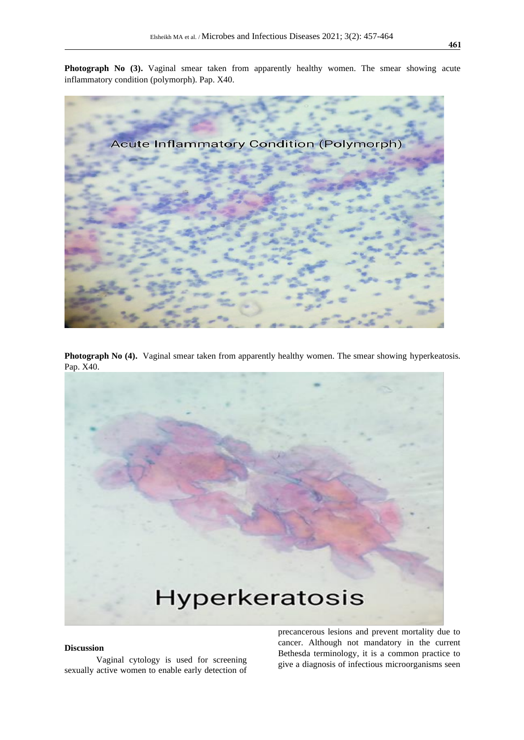**Photograph No (3).** Vaginal smear taken from apparently healthy women. The smear showing acute inflammatory condition (polymorph). Pap. X40.



Photograph No (4). Vaginal smear taken from apparently healthy women. The smear showing hyperkeatosis. Pap. X40.



## **Discussion**

Vaginal cytology is used for screening sexually active women to enable early detection of precancerous lesions and prevent mortality due to cancer. Although not mandatory in the current Bethesda terminology, it is a common practice to give a diagnosis of infectious microorganisms seen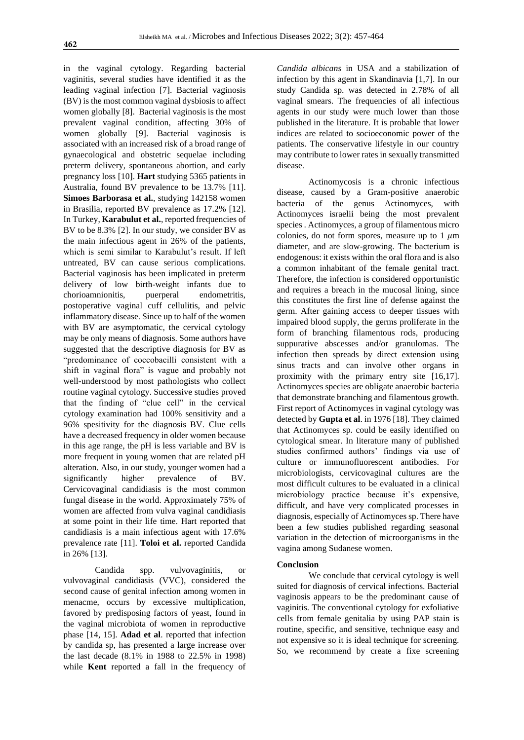in the vaginal cytology. Regarding bacterial vaginitis, several studies have identified it as the leading vaginal infection [7]. Bacterial vaginosis (BV) is the most common vaginal dysbiosis to affect women globally [8]. Bacterial vaginosis is the most prevalent vaginal condition, affecting 30% of women globally [9]. Bacterial vaginosis is associated with an increased risk of a broad range of gynaecological and obstetric sequelae including preterm delivery, spontaneous abortion, and early pregnancy loss [10]. **Hart** studying 5365 patients in Australia, found BV prevalence to be 13.7% [11]. **Simoes Barborasa et al.**, studying 142158 women in Brasilia, reported BV prevalence as 17.2% [12]. In Turkey, **Karabulut et al.**, reported frequencies of BV to be 8.3% [2]. In our study, we consider BV as the main infectious agent in 26% of the patients, which is semi similar to Karabulut's result. If left untreated, BV can cause serious complications. Bacterial vaginosis has been implicated in preterm delivery of low birth-weight infants due to chorioamnionitis, puerperal endometritis, postoperative vaginal cuff cellulitis, and pelvic inflammatory disease. Since up to half of the women with BV are asymptomatic, the cervical cytology may be only means of diagnosis. Some authors have suggested that the descriptive diagnosis for BV as "predominance of coccobacilli consistent with a shift in vaginal flora" is vague and probably not well-understood by most pathologists who collect routine vaginal cytology. Successive studies proved that the finding of "clue cell" in the cervical cytology examination had 100% sensitivity and a 96% spesitivity for the diagnosis BV. Clue cells have a decreased frequency in older women because in this age range, the pH is less variable and BV is more frequent in young women that are related pH alteration. Also, in our study, younger women had a significantly higher prevalence of BV. Cervicovaginal candidiasis is the most common fungal disease in the world. Approximately 75% of women are affected from vulva vaginal candidiasis at some point in their life time. Hart reported that candidiasis is a main infectious agent with 17.6% prevalence rate [11]. **Toloi et al.** reported Candida in 26% [13].

Candida spp. vulvovaginitis, or vulvovaginal candidiasis (VVC), considered the second cause of genital infection among women in menacme, occurs by excessive multiplication, favored by predisposing factors of yeast, found in the vaginal microbiota of women in reproductive phase [14, 15]. **Adad et al**. reported that infection by candida sp, has presented a large increase over the last decade (8.1% in 1988 to 22.5% in 1998) while **Kent** reported a fall in the frequency of

*Candida albicans* in USA and a stabilization of infection by this agent in Skandinavia [1,7]. In our study Candida sp. was detected in 2.78% of all vaginal smears. The frequencies of all infectious agents in our study were much lower than those published in the literature. It is probable that lower indices are related to socioeconomic power of the patients. The conservative lifestyle in our country may contribute to lower rates in sexually transmitted disease.

Actinomycosis is a chronic infectious disease, caused by a Gram-positive anaerobic bacteria of the genus Actinomyces, with Actinomyces israelii being the most prevalent species . Actinomyces, a group of filamentous micro colonies, do not form spores, measure up to  $1 \mu m$ diameter, and are slow-growing. The bacterium is endogenous: it exists within the oral flora and is also a common inhabitant of the female genital tract. Therefore, the infection is considered opportunistic and requires a breach in the mucosal lining, since this constitutes the first line of defense against the germ. After gaining access to deeper tissues with impaired blood supply, the germs proliferate in the form of branching filamentous rods, producing suppurative abscesses and/or granulomas. The infection then spreads by direct extension using sinus tracts and can involve other organs in proximity with the primary entry site [16,17]. Actinomyces species are obligate anaerobic bacteria that demonstrate branching and filamentous growth. First report of Actinomyces in vaginal cytology was detected by **Gupta et al**. in 1976 [18]. They claimed that Actinomyces sp. could be easily identified on cytological smear. In literature many of published studies confirmed authors' findings via use of culture or immunofluorescent antibodies. For microbiologists, cervicovaginal cultures are the most difficult cultures to be evaluated in a clinical microbiology practice because it's expensive, difficult, and have very complicated processes in diagnosis, especially of Actinomyces sp. There have been a few studies published regarding seasonal variation in the detection of microorganisms in the vagina among Sudanese women.

#### **Conclusion**

We conclude that cervical cytology is well suited for diagnosis of cervical infections. Bacterial vaginosis appears to be the predominant cause of vaginitis. The conventional cytology for exfoliative cells from female genitalia by using PAP stain is routine, specific, and sensitive, technique easy and not expensive so it is ideal technique for screening. So, we recommend by create a fixe screening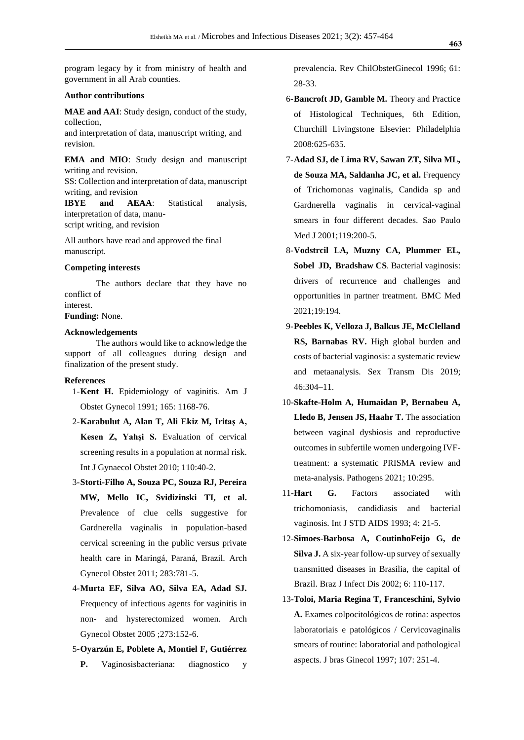program legacy by it from ministry of health and government in all Arab counties.

## **Author contributions**

**MAE and AAI**: Study design, conduct of the study, collection,

and interpretation of data, manuscript writing, and revision.

**EMA and MIO**: Study design and manuscript writing and revision.

SS: Collection and interpretation of data, manuscript writing, and revision

**IBYE and AEAA**: Statistical analysis, interpretation of data, manuscript writing, and revision

All authors have read and approved the final manuscript.

#### **Competing interests**

The authors declare that they have no conflict of interest.

**Funding:** None.

## **Acknowledgements**

The authors would like to acknowledge the support of all colleagues during design and finalization of the present study.

## **References**

- 1-**Kent H.** Epidemiology of vaginitis. Am J Obstet Gynecol 1991; 165: 1168-76.
- 2-**Karabulut A, Alan T, Ali Ekiz M, Iritaş A, Kesen Z, Yahşi S.** Evaluation of cervical screening results in a population at normal risk. Int J Gynaecol Obstet 2010; 110:40-2.
- 3-**Storti-Filho A, Souza PC, Souza RJ, Pereira MW, Mello IC, Svidizinski TI, et al.** Prevalence of clue cells suggestive for Gardnerella vaginalis in population-based cervical screening in the public versus private health care in Maringá, Paraná, Brazil. Arch Gynecol Obstet 2011; 283:781-5.
- 4-**Murta EF, Silva AO, Silva EA, Adad SJ.** Frequency of infectious agents for vaginitis in non- and hysterectomized women. Arch Gynecol Obstet 2005 ;273:152-6.
- 5-**Oyarzún E, Poblete A, Montiel F, Gutiérrez P.** Vaginosisbacteriana: diagnostico y

prevalencia. Rev ChilObstetGinecol 1996; 61: 28-33.

- 6-**Bancroft JD, Gamble M.** Theory and Practice of Histological Techniques, 6th Edition, Churchill Livingstone Elsevier: Philadelphia 2008:625-635.
- 7-**Adad SJ, de Lima RV, Sawan ZT, Silva ML, de Souza MA, Saldanha JC, et al.** Frequency of Trichomonas vaginalis, Candida sp and Gardnerella vaginalis in cervical-vaginal smears in four different decades. Sao Paulo Med J 2001;119:200-5.
- 8-**Vodstrcil LA, Muzny CA, Plummer EL, [Sobel](https://bmcmedicine.biomedcentral.com/articles/10.1186/s12916-021-02077-3#auth-Jack_D_-Sobel) JD, [Bradshaw](https://bmcmedicine.biomedcentral.com/articles/10.1186/s12916-021-02077-3#auth-Catriona_S_-Bradshaw) CS***.* Bacterial vaginosis: drivers of recurrence and challenges and opportunities in partner treatment. BMC Med 2021;19:194.
- 9-**Peebles K, Velloza J, Balkus JE, McClelland RS, Barnabas RV.** High global burden and costs of bacterial vaginosis: a systematic review and metaanalysis. Sex Transm Dis 2019; 46:304–11.
- 10-**Skafte-Holm A, Humaidan P, Bernabeu A, Lledo B, Jensen JS, Haahr T.** The association between vaginal dysbiosis and reproductive outcomes in subfertile women undergoing IVFtreatment: a systematic PRISMA review and meta-analysis. Pathogens 2021; 10:295.
- 11-**Hart G.** Factors associated with trichomoniasis, candidiasis and bacterial vaginosis. Int J STD AIDS 1993; 4: 21-5.
- 12-**Simoes-Barbosa A, CoutinhoFeijo G, de Silva J.** A six-year follow-up survey of sexually transmitted diseases in Brasilia, the capital of Brazil. Braz J Infect Dis 2002; 6: 110-117.
- 13-**[Toloi, Maria Regina T,](https://pesquisa.bvsalud.org/portal/?lang=pt&q=au:%22Toloi,%20Maria%20Regina%20T%22) Franceschini, Sylvio A.** Exames colpocitológicos de rotina: aspectos laboratoriais e patológicos / Cervicovaginalis smears of routine: laboratorial and pathological aspects. J bras Ginecol 1997; 107: 251-4.